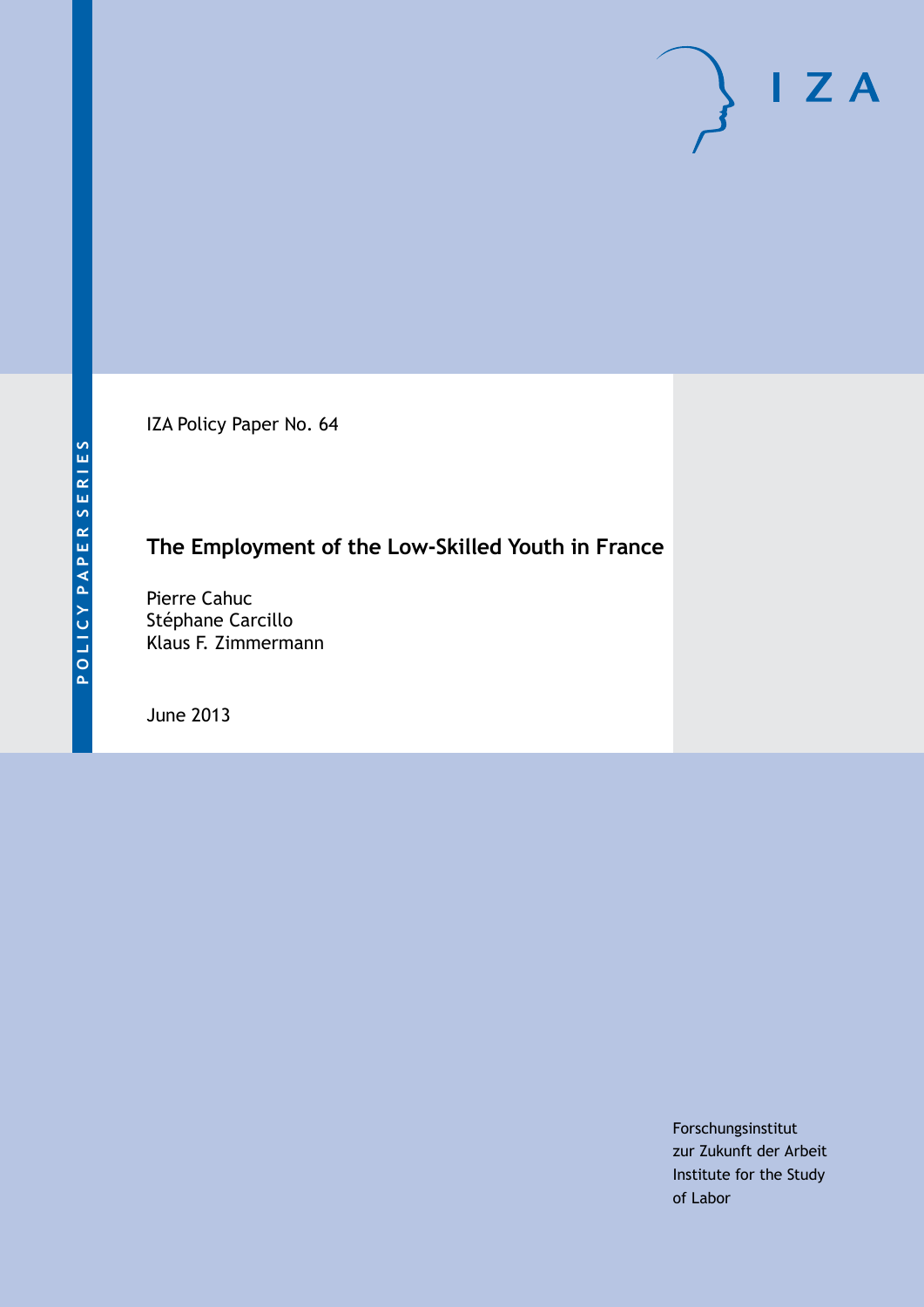IZA Policy Paper No. 64

# **The Employment of the Low-Skilled Youth in France**

Pierre Cahuc Stéphane Carcillo Klaus F. Zimmermann

June 2013

Forschungsinstitut zur Zukunft der Arbeit Institute for the Study of Labor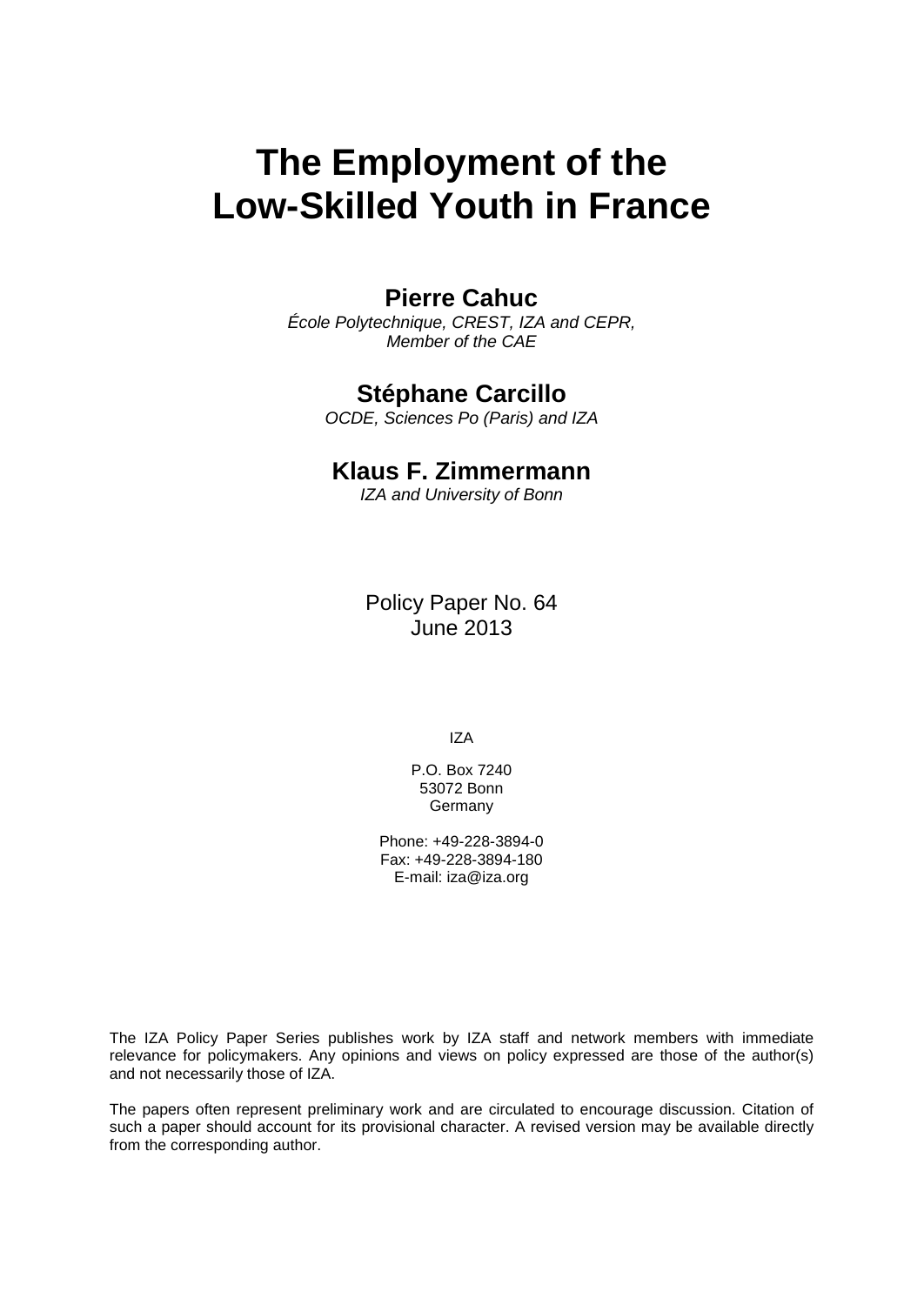# **The Employment of the Low-Skilled Youth in France**

# **Pierre Cahuc**

*École Polytechnique, CREST, IZA and CEPR, Member of the CAE*

# **Stéphane Carcillo**

*OCDE, Sciences Po (Paris) and IZA*

# **Klaus F. Zimmermann**

*IZA and University of Bonn*

Policy Paper No. 64 June 2013

IZA

P.O. Box 7240 53072 Bonn **Germany** 

Phone: +49-228-3894-0 Fax: +49-228-3894-180 E-mail: [iza@iza.org](mailto:iza@iza.org)

The IZA Policy Paper Series publishes work by IZA staff and network members with immediate relevance for policymakers. Any opinions and views on policy expressed are those of the author(s) and not necessarily those of IZA.

The papers often represent preliminary work and are circulated to encourage discussion. Citation of such a paper should account for its provisional character. A revised version may be available directly from the corresponding author.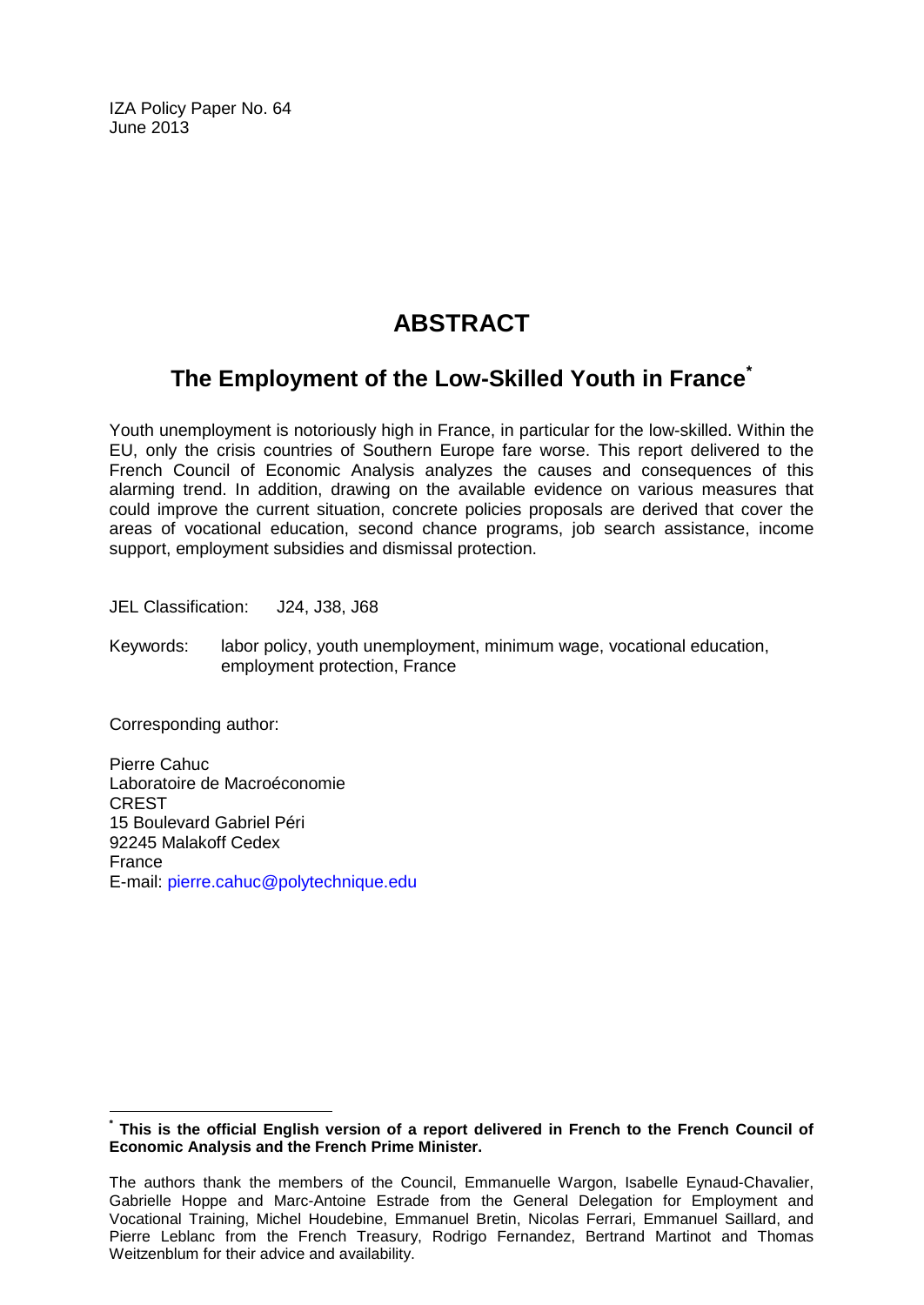IZA Policy Paper No. 64 June 2013

# **ABSTRACT**

# **The Employment of the Low-Skilled Youth in France[\\*](#page-2-0)**

Youth unemployment is notoriously high in France, in particular for the low-skilled. Within the EU, only the crisis countries of Southern Europe fare worse. This report delivered to the French Council of Economic Analysis analyzes the causes and consequences of this alarming trend. In addition, drawing on the available evidence on various measures that could improve the current situation, concrete policies proposals are derived that cover the areas of vocational education, second chance programs, job search assistance, income support, employment subsidies and dismissal protection.

JEL Classification: J24, J38, J68

Keywords: labor policy, youth unemployment, minimum wage, vocational education, employment protection, France

Corresponding author:

Pierre Cahuc Laboratoire de Macroéconomie CREST 15 Boulevard Gabriel Péri 92245 Malakoff Cedex France E-mail: [pierre.cahuc@polytechnique.edu](mailto:pierre.cahuc@polytechnique.edu)

<span id="page-2-0"></span>**\* This is the official English version of a report delivered in French to the French Council of Economic Analysis and the French Prime Minister.**

The authors thank the members of the Council, Emmanuelle Wargon, Isabelle Eynaud-Chavalier, Gabrielle Hoppe and Marc-Antoine Estrade from the General Delegation for Employment and Vocational Training, Michel Houdebine, Emmanuel Bretin, Nicolas Ferrari, Emmanuel Saillard, and Pierre Leblanc from the French Treasury, Rodrigo Fernandez, Bertrand Martinot and Thomas Weitzenblum for their advice and availability.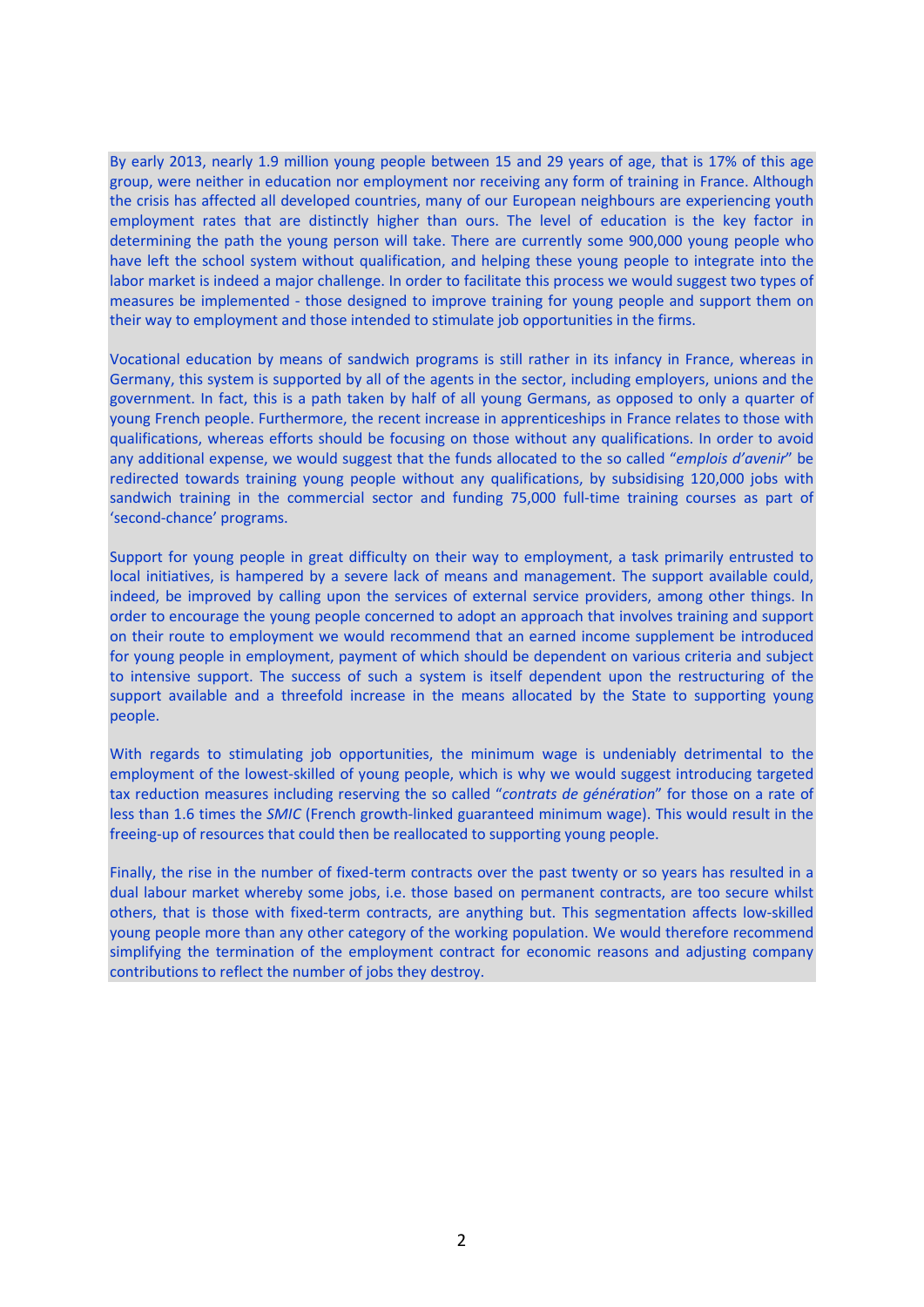By early 2013, nearly 1.9 million young people between 15 and 29 years of age, that is 17% of this age group, were neither in education nor employment nor receiving any form of training in France. Although the crisis has affected all developed countries, many of our European neighbours are experiencing youth employment rates that are distinctly higher than ours. The level of education is the key factor in determining the path the young person will take. There are currently some 900,000 young people who have left the school system without qualification, and helping these young people to integrate into the labor market is indeed a major challenge. In order to facilitate this process we would suggest two types of measures be implemented - those designed to improve training for young people and support them on their way to employment and those intended to stimulate job opportunities in the firms.

Vocational education by means of sandwich programs is still rather in its infancy in France, whereas in Germany, this system is supported by all of the agents in the sector, including employers, unions and the government. In fact, this is a path taken by half of all young Germans, as opposed to only a quarter of young French people. Furthermore, the recent increase in apprenticeships in France relates to those with qualifications, whereas efforts should be focusing on those without any qualifications. In order to avoid any additional expense, we would suggest that the funds allocated to the so called "*emplois d'avenir*" be redirected towards training young people without any qualifications, by subsidising 120,000 jobs with sandwich training in the commercial sector and funding 75,000 full-time training courses as part of 'second-chance' programs.

Support for young people in great difficulty on their way to employment, a task primarily entrusted to local initiatives, is hampered by a severe lack of means and management. The support available could, indeed, be improved by calling upon the services of external service providers, among other things. In order to encourage the young people concerned to adopt an approach that involves training and support on their route to employment we would recommend that an earned income supplement be introduced for young people in employment, payment of which should be dependent on various criteria and subject to intensive support. The success of such a system is itself dependent upon the restructuring of the support available and a threefold increase in the means allocated by the State to supporting young people.

With regards to stimulating job opportunities, the minimum wage is undeniably detrimental to the employment of the lowest-skilled of young people, which is why we would suggest introducing targeted tax reduction measures including reserving the so called "*contrats de génération*" for those on a rate of less than 1.6 times the *SMIC* (French growth-linked guaranteed minimum wage). This would result in the freeing-up of resources that could then be reallocated to supporting young people.

Finally, the rise in the number of fixed-term contracts over the past twenty or so years has resulted in a dual labour market whereby some jobs, i.e. those based on permanent contracts, are too secure whilst others, that is those with fixed-term contracts, are anything but. This segmentation affects low-skilled young people more than any other category of the working population. We would therefore recommend simplifying the termination of the employment contract for economic reasons and adjusting company contributions to reflect the number of jobs they destroy.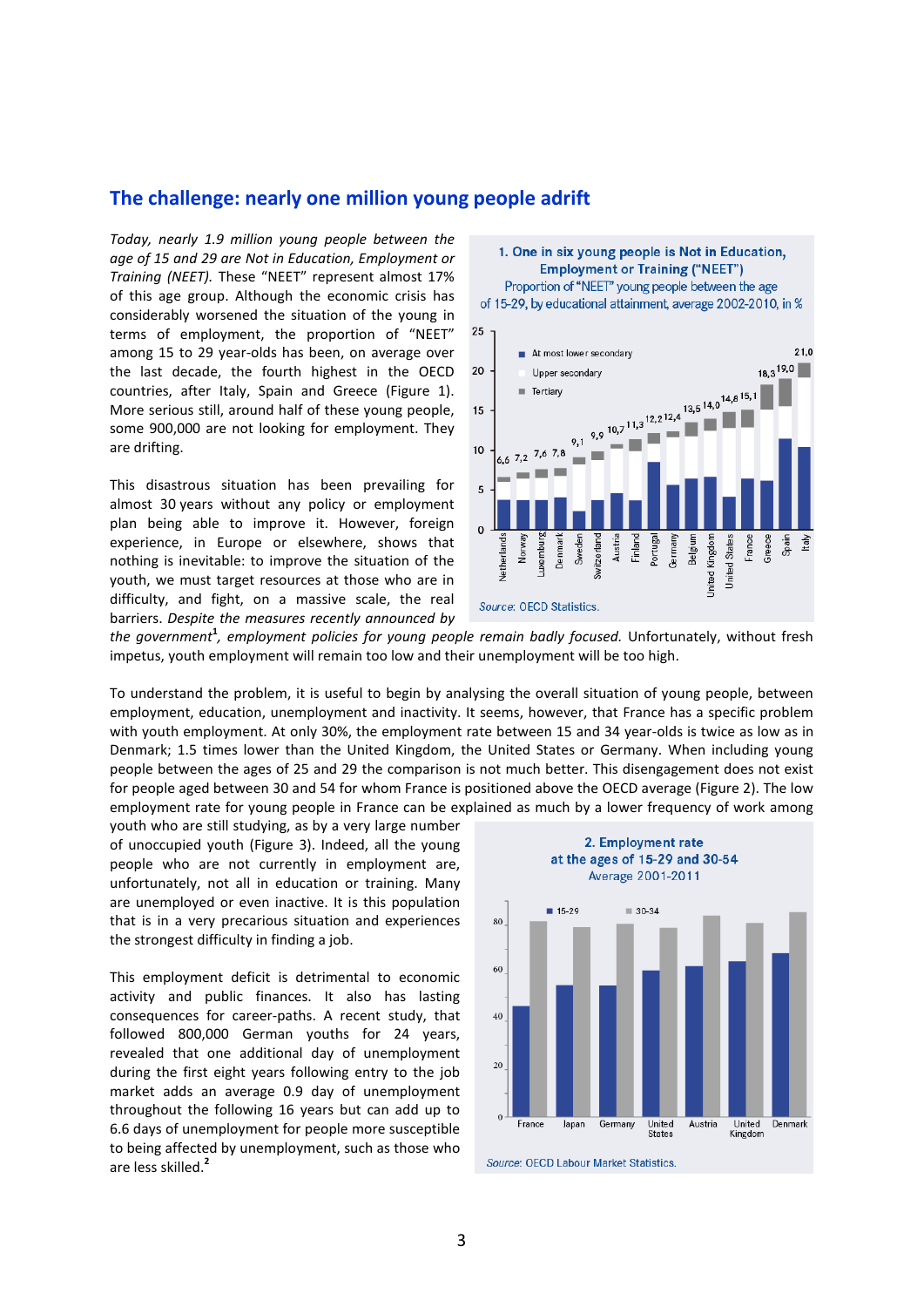#### **The challenge: nearly one million young people adrift**

*Today, nearly 1.9 million young people between the age of 15 and 29 are Not in Education, Employment or Training (NEET).* These "NEET" represent almost 17% of this age group. Although the economic crisis has considerably worsened the situation of the young in terms of employment, the proportion of "NEET" among 15 to 29 year-olds has been, on average over the last decade, the fourth highest in the OECD countries, after Italy, Spain and Greece (Figure 1). More serious still, around half of these young people, some 900,000 are not looking for employment. They are drifting.

This disastrous situation has been prevailing for almost 30 years without any policy or employment plan being able to improve it. However, foreign experience, in Europe or elsewhere, shows that nothing is inevitable: to improve the situation of the youth, we must target resources at those who are in difficulty, and fight, on a massive scale, the real barriers. *Despite the measures recently announced by* 



*the government***<sup>1</sup>** *, employment policies for young people remain badly focused.* Unfortunately, without fresh impetus, youth employment will remain too low and their unemployment will be too high.

To understand the problem, it is useful to begin by analysing the overall situation of young people, between employment, education, unemployment and inactivity. It seems, however, that France has a specific problem with youth employment. At only 30%, the employment rate between 15 and 34 year-olds is twice as low as in Denmark; 1.5 times lower than the United Kingdom, the United States or Germany. When including young people between the ages of 25 and 29 the comparison is not much better. This disengagement does not exist for people aged between 30 and 54 for whom France is positioned above the OECD average (Figure 2). The low employment rate for young people in France can be explained as much by a lower frequency of work among

youth who are still studying, as by a very large number of unoccupied youth (Figure 3). Indeed, all the young people who are not currently in employment are, unfortunately, not all in education or training. Many are unemployed or even inactive. It is this population that is in a very precarious situation and experiences the strongest difficulty in finding a job.

This employment deficit is detrimental to economic activity and public finances. It also has lasting consequences for career-paths. A recent study, that followed 800,000 German youths for 24 years, revealed that one additional day of unemployment during the first eight years following entry to the job market adds an average 0.9 day of unemployment throughout the following 16 years but can add up to 6.6 days of unemployment for people more susceptible to being affected by unemployment, such as those who are less skilled.**<sup>2</sup>**

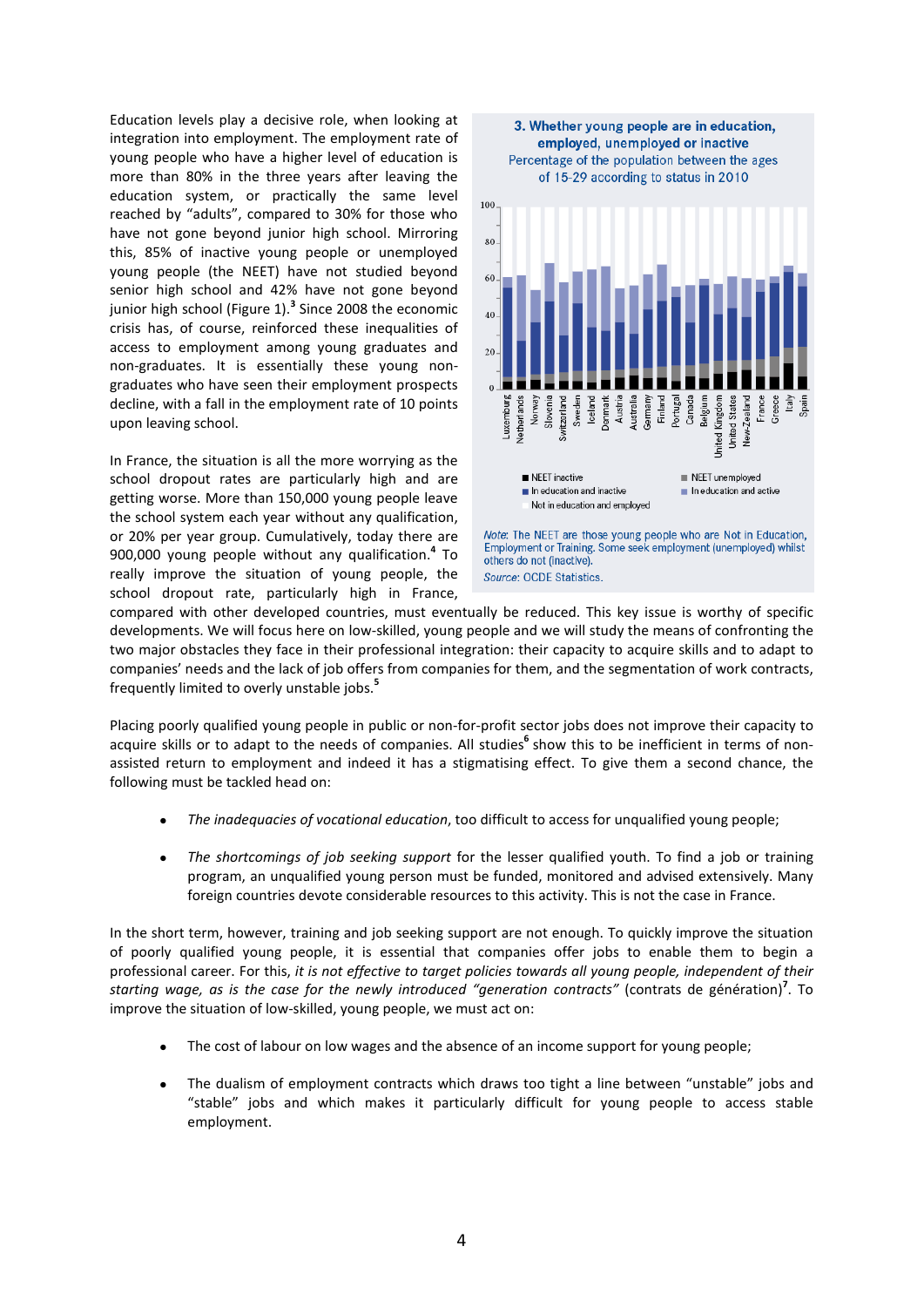Education levels play a decisive role, when looking at integration into employment. The employment rate of young people who have a higher level of education is more than 80% in the three years after leaving the education system, or practically the same level reached by "adults", compared to 30% for those who have not gone beyond junior high school. Mirroring this, 85% of inactive young people or unemployed young people (the NEET) have not studied beyond senior high school and 42% have not gone beyond junior high school (Figure 1).**<sup>3</sup>** Since 2008 the economic crisis has, of course, reinforced these inequalities of access to employment among young graduates and non-graduates. It is essentially these young nongraduates who have seen their employment prospects decline, with a fall in the employment rate of 10 points upon leaving school.

In France, the situation is all the more worrying as the school dropout rates are particularly high and are getting worse. More than 150,000 young people leave the school system each year without any qualification, or 20% per year group. Cumulatively, today there are 900,000 young people without any qualification.**<sup>4</sup>** To really improve the situation of young people, the school dropout rate, particularly high in France,



compared with other developed countries, must eventually be reduced. This key issue is worthy of specific developments. We will focus here on low-skilled, young people and we will study the means of confronting the two major obstacles they face in their professional integration: their capacity to acquire skills and to adapt to companies' needs and the lack of job offers from companies for them, and the segmentation of work contracts, frequently limited to overly unstable jobs.**<sup>5</sup>**

Placing poorly qualified young people in public or non-for-profit sector jobs does not improve their capacity to acquire skills or to adapt to the needs of companies. All studies<sup>6</sup> show this to be inefficient in terms of nonassisted return to employment and indeed it has a stigmatising effect. To give them a second chance, the following must be tackled head on:

- *The inadequacies of vocational education*, too difficult to access for unqualified young people;
- *The shortcomings of job seeking support* for the lesser qualified youth. To find a job or training program, an unqualified young person must be funded, monitored and advised extensively. Many foreign countries devote considerable resources to this activity. This is not the case in France.

In the short term, however, training and job seeking support are not enough. To quickly improve the situation of poorly qualified young people, it is essential that companies offer jobs to enable them to begin a professional career. For this, *it is not effective to target policies towards all young people, independent of their starting wage, as is the case for the newly introduced "generation contracts"* (contrats de génération)**<sup>7</sup>** . To improve the situation of low-skilled, young people, we must act on:

- The cost of labour on low wages and the absence of an income support for young people;
- The dualism of employment contracts which draws too tight a line between "unstable" jobs and "stable" jobs and which makes it particularly difficult for young people to access stable employment.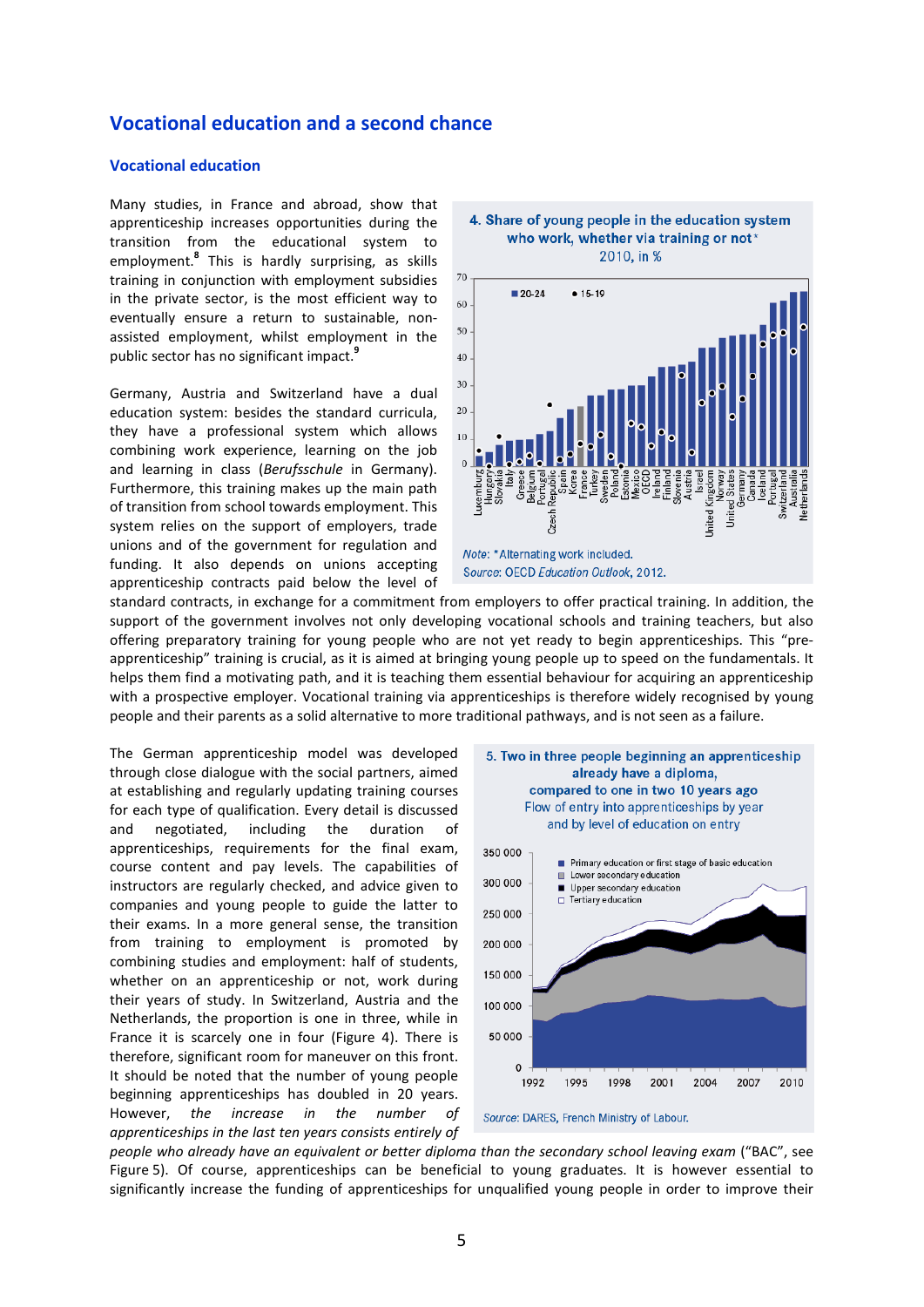### **Vocational education and a second chance**

#### **Vocational education**

Many studies, in France and abroad, show that apprenticeship increases opportunities during the transition from the educational system to employment.**<sup>8</sup>** This is hardly surprising, as skills training in conjunction with employment subsidies in the private sector, is the most efficient way to eventually ensure a return to sustainable, nonassisted employment, whilst employment in the public sector has no significant impact.**<sup>9</sup>**

Germany, Austria and Switzerland have a dual education system: besides the standard curricula, they have a professional system which allows combining work experience, learning on the job and learning in class (*Berufsschule* in Germany). Furthermore, this training makes up the main path of transition from school towards employment. This system relies on the support of employers, trade unions and of the government for regulation and funding. It also depends on unions accepting apprenticeship contracts paid below the level of





standard contracts, in exchange for a commitment from employers to offer practical training. In addition, the support of the government involves not only developing vocational schools and training teachers, but also offering preparatory training for young people who are not yet ready to begin apprenticeships. This "preapprenticeship" training is crucial, as it is aimed at bringing young people up to speed on the fundamentals. It helps them find a motivating path, and it is teaching them essential behaviour for acquiring an apprenticeship with a prospective employer. Vocational training via apprenticeships is therefore widely recognised by young people and their parents as a solid alternative to more traditional pathways, and is not seen as a failure.

The German apprenticeship model was developed through close dialogue with the social partners, aimed at establishing and regularly updating training courses for each type of qualification. Every detail is discussed and negotiated, including the duration of apprenticeships, requirements for the final exam, course content and pay levels. The capabilities of instructors are regularly checked, and advice given to companies and young people to guide the latter to their exams. In a more general sense, the transition from training to employment is promoted by combining studies and employment: half of students, whether on an apprenticeship or not, work during their years of study. In Switzerland, Austria and the Netherlands, the proportion is one in three, while in France it is scarcely one in four (Figure 4). There is therefore, significant room for maneuver on this front. It should be noted that the number of young people beginning apprenticeships has doubled in 20 years. However, *the increase in the number of apprenticeships in the last ten years consists entirely of* 



*people who already have an equivalent or better diploma than the secondary school leaving exam* ("BAC", see Figure 5). Of course, apprenticeships can be beneficial to young graduates. It is however essential to significantly increase the funding of apprenticeships for unqualified young people in order to improve their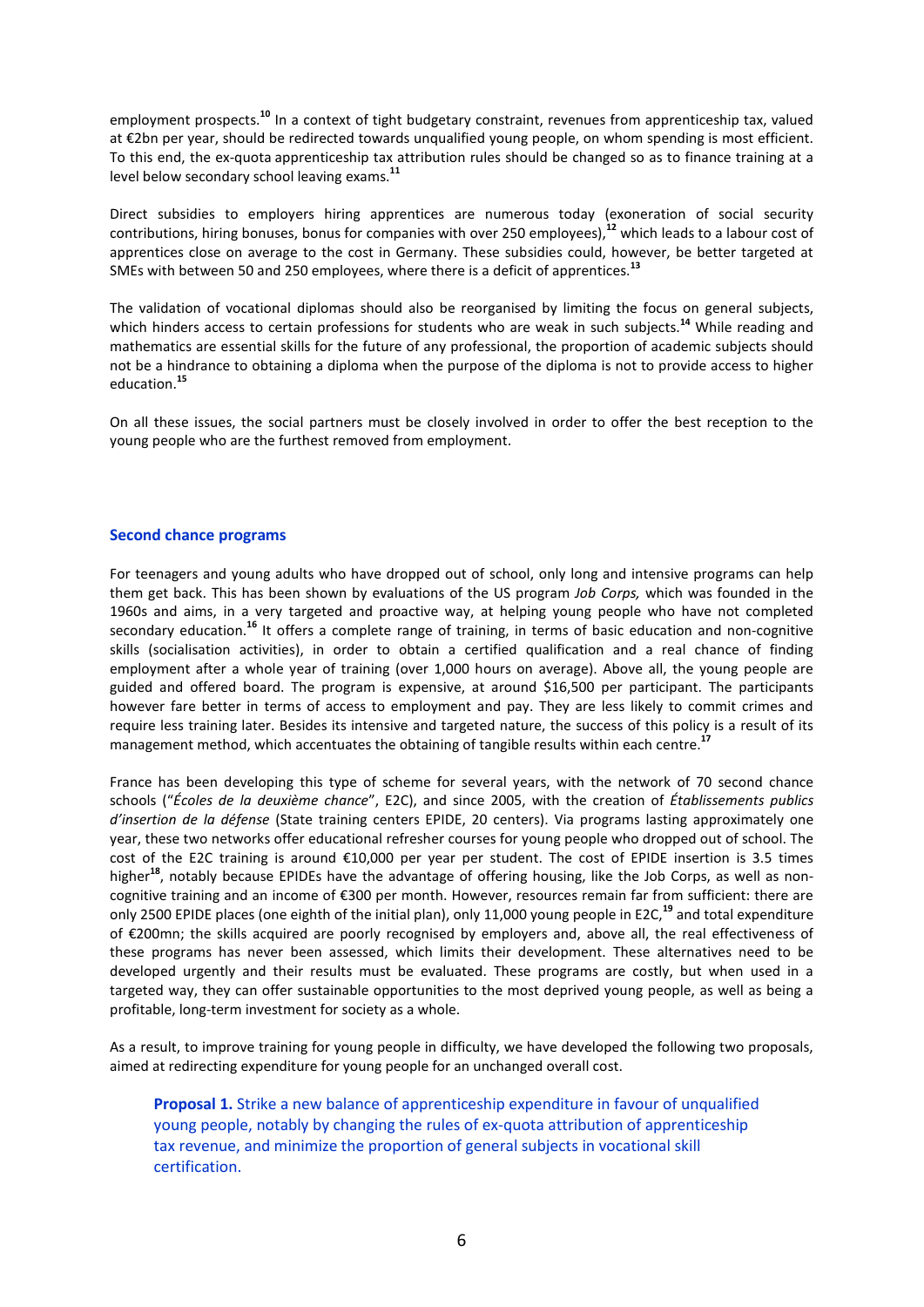employment prospects.**<sup>10</sup>** In a context of tight budgetary constraint, revenues from apprenticeship tax, valued at €2bn per year, should be redirected towards unqualified young people, on whom spending is most efficient. To this end, the ex-quota apprenticeship tax attribution rules should be changed so as to finance training at a level below secondary school leaving exams.**<sup>11</sup>**

Direct subsidies to employers hiring apprentices are numerous today (exoneration of social security contributions, hiring bonuses, bonus for companies with over 250 employees),**<sup>12</sup>** which leads to a labour cost of apprentices close on average to the cost in Germany. These subsidies could, however, be better targeted at SMEs with between 50 and 250 employees, where there is a deficit of apprentices.**<sup>13</sup>**

The validation of vocational diplomas should also be reorganised by limiting the focus on general subjects, which hinders access to certain professions for students who are weak in such subjects.<sup>14</sup> While reading and mathematics are essential skills for the future of any professional, the proportion of academic subjects should not be a hindrance to obtaining a diploma when the purpose of the diploma is not to provide access to higher education.**<sup>15</sup>**

On all these issues, the social partners must be closely involved in order to offer the best reception to the young people who are the furthest removed from employment.

#### **Second chance programs**

For teenagers and young adults who have dropped out of school, only long and intensive programs can help them get back. This has been shown by evaluations of the US program *Job Corps,* which was founded in the 1960s and aims, in a very targeted and proactive way, at helping young people who have not completed secondary education.**<sup>16</sup>** It offers a complete range of training, in terms of basic education and non-cognitive skills (socialisation activities), in order to obtain a certified qualification and a real chance of finding employment after a whole year of training (over 1,000 hours on average). Above all, the young people are guided and offered board. The program is expensive, at around \$16,500 per participant. The participants however fare better in terms of access to employment and pay. They are less likely to commit crimes and require less training later. Besides its intensive and targeted nature, the success of this policy is a result of its management method, which accentuates the obtaining of tangible results within each centre.**<sup>17</sup>**

France has been developing this type of scheme for several years, with the network of 70 second chance schools ("*Écoles de la deuxième chance*", E2C), and since 2005, with the creation of *Établissements publics d'insertion de la défense* (State training centers EPIDE, 20 centers). Via programs lasting approximately one year, these two networks offer educational refresher courses for young people who dropped out of school. The cost of the E2C training is around €10,000 per year per student. The cost of EPIDE insertion is 3.5 times higher**<sup>18</sup>**, notably because EPIDEs have the advantage of offering housing, like the Job Corps, as well as noncognitive training and an income of €300 per month. However, resources remain far from sufficient: there are only 2500 EPIDE places (one eighth of the initial plan), only 11,000 young people in E2C,**<sup>19</sup>** and total expenditure of €200mn; the skills acquired are poorly recognised by employers and, above all, the real effectiveness of these programs has never been assessed, which limits their development. These alternatives need to be developed urgently and their results must be evaluated. These programs are costly, but when used in a targeted way, they can offer sustainable opportunities to the most deprived young people, as well as being a profitable, long-term investment for society as a whole.

As a result, to improve training for young people in difficulty, we have developed the following two proposals, aimed at redirecting expenditure for young people for an unchanged overall cost.

**Proposal 1.** Strike a new balance of apprenticeship expenditure in favour of unqualified young people, notably by changing the rules of ex-quota attribution of apprenticeship tax revenue, and minimize the proportion of general subjects in vocational skill certification.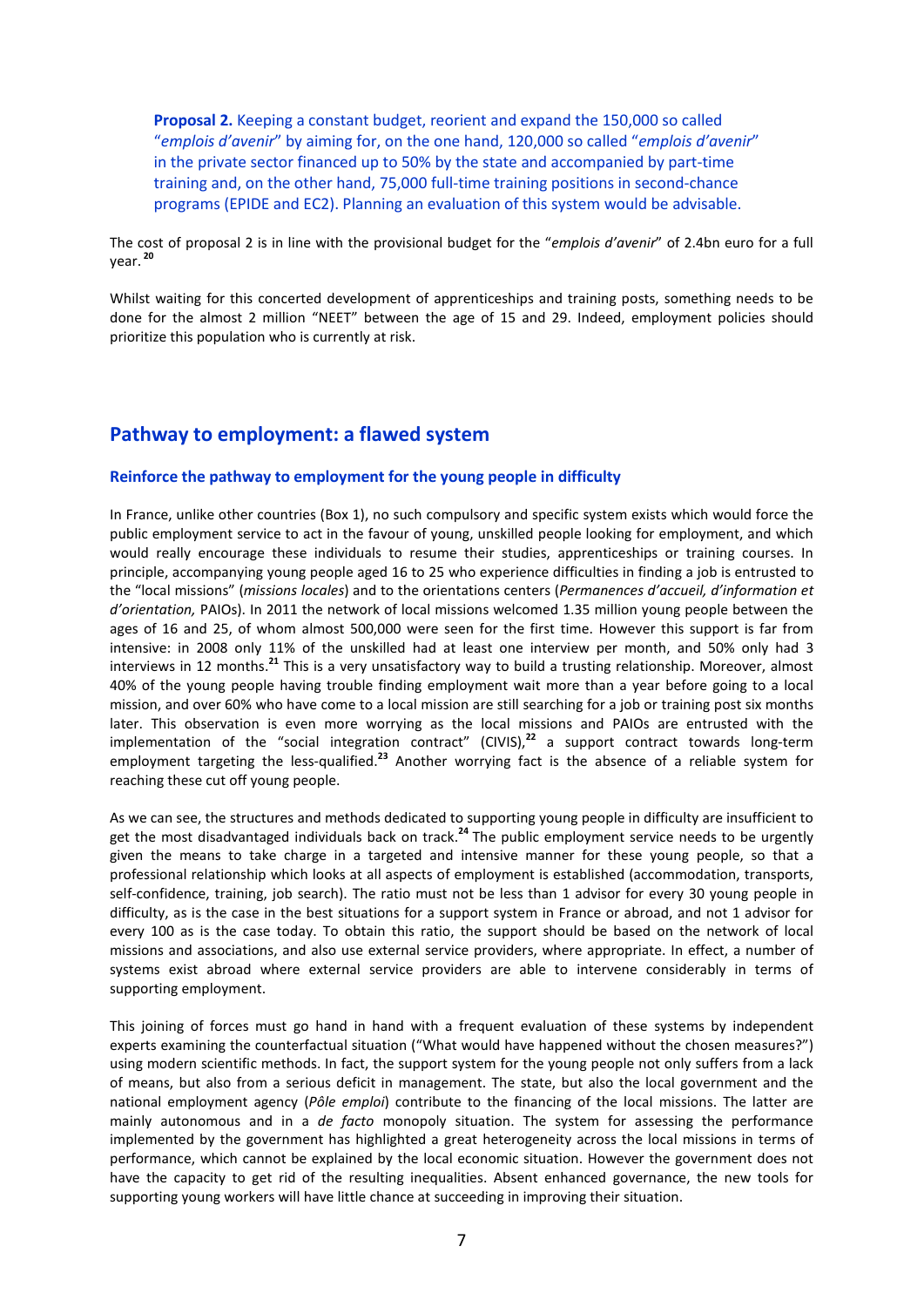**Proposal 2.** Keeping a constant budget, reorient and expand the 150,000 so called "*emplois d'avenir*" by aiming for, on the one hand, 120,000 so called "*emplois d'avenir*" in the private sector financed up to 50% by the state and accompanied by part-time training and, on the other hand, 75,000 full-time training positions in second-chance programs (EPIDE and EC2). Planning an evaluation of this system would be advisable.

The cost of proposal 2 is in line with the provisional budget for the "*emplois d'avenir*" of 2.4bn euro for a full year. **<sup>20</sup>**

Whilst waiting for this concerted development of apprenticeships and training posts, something needs to be done for the almost 2 million "NEET" between the age of 15 and 29. Indeed, employment policies should prioritize this population who is currently at risk.

### **Pathway to employment: a flawed system**

#### **Reinforce the pathway to employment for the young people in difficulty**

In France, unlike other countries (Box 1), no such compulsory and specific system exists which would force the public employment service to act in the favour of young, unskilled people looking for employment, and which would really encourage these individuals to resume their studies, apprenticeships or training courses. In principle, accompanying young people aged 16 to 25 who experience difficulties in finding a job is entrusted to the "local missions" (*missions locales*) and to the orientations centers (*Permanences d'accueil, d'information et d'orientation,* PAIOs). In 2011 the network of local missions welcomed 1.35 million young people between the ages of 16 and 25, of whom almost 500,000 were seen for the first time. However this support is far from intensive: in 2008 only 11% of the unskilled had at least one interview per month, and 50% only had 3 interviews in 12 months.**<sup>21</sup>** This is a very unsatisfactory way to build a trusting relationship. Moreover, almost 40% of the young people having trouble finding employment wait more than a year before going to a local mission, and over 60% who have come to a local mission are still searching for a job or training post six months later. This observation is even more worrying as the local missions and PAIOs are entrusted with the implementation of the "social integration contract" (CIVIS),**<sup>22</sup>** a support contract towards long-term employment targeting the less-qualified.**<sup>23</sup>** Another worrying fact is the absence of a reliable system for reaching these cut off young people.

As we can see, the structures and methods dedicated to supporting young people in difficulty are insufficient to get the most disadvantaged individuals back on track.**<sup>24</sup>** The public employment service needs to be urgently given the means to take charge in a targeted and intensive manner for these young people, so that a professional relationship which looks at all aspects of employment is established (accommodation, transports, self-confidence, training, job search). The ratio must not be less than 1 advisor for every 30 young people in difficulty, as is the case in the best situations for a support system in France or abroad, and not 1 advisor for every 100 as is the case today. To obtain this ratio, the support should be based on the network of local missions and associations, and also use external service providers, where appropriate. In effect, a number of systems exist abroad where external service providers are able to intervene considerably in terms of supporting employment.

This joining of forces must go hand in hand with a frequent evaluation of these systems by independent experts examining the counterfactual situation ("What would have happened without the chosen measures?") using modern scientific methods. In fact, the support system for the young people not only suffers from a lack of means, but also from a serious deficit in management. The state, but also the local government and the national employment agency (*Pôle emploi*) contribute to the financing of the local missions. The latter are mainly autonomous and in a *de facto* monopoly situation. The system for assessing the performance implemented by the government has highlighted a great heterogeneity across the local missions in terms of performance, which cannot be explained by the local economic situation. However the government does not have the capacity to get rid of the resulting inequalities. Absent enhanced governance, the new tools for supporting young workers will have little chance at succeeding in improving their situation.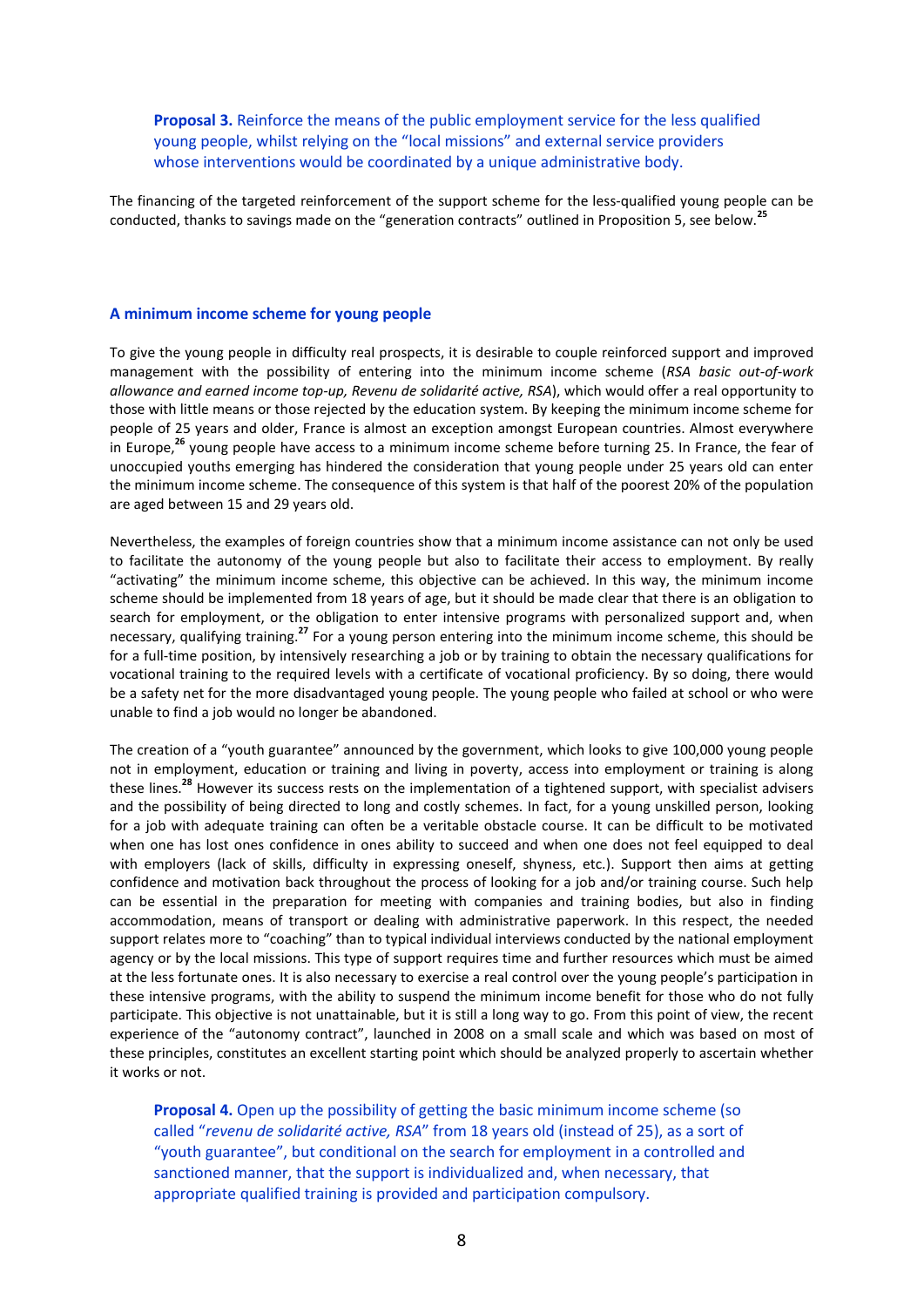**Proposal 3.** Reinforce the means of the public employment service for the less qualified young people, whilst relying on the "local missions" and external service providers whose interventions would be coordinated by a unique administrative body.

The financing of the targeted reinforcement of the support scheme for the less-qualified young people can be conducted, thanks to savings made on the "generation contracts" outlined in Proposition 5, see below.**<sup>25</sup>**

#### **A minimum income scheme for young people**

To give the young people in difficulty real prospects, it is desirable to couple reinforced support and improved management with the possibility of entering into the minimum income scheme (*RSA basic out-of-work allowance and earned income top-up, Revenu de solidarité active, RSA*), which would offer a real opportunity to those with little means or those rejected by the education system. By keeping the minimum income scheme for people of 25 years and older, France is almost an exception amongst European countries. Almost everywhere in Europe,**<sup>26</sup>** young people have access to a minimum income scheme before turning 25. In France, the fear of unoccupied youths emerging has hindered the consideration that young people under 25 years old can enter the minimum income scheme. The consequence of this system is that half of the poorest 20% of the population are aged between 15 and 29 years old.

Nevertheless, the examples of foreign countries show that a minimum income assistance can not only be used to facilitate the autonomy of the young people but also to facilitate their access to employment. By really "activating" the minimum income scheme, this objective can be achieved. In this way, the minimum income scheme should be implemented from 18 years of age, but it should be made clear that there is an obligation to search for employment, or the obligation to enter intensive programs with personalized support and, when necessary, qualifying training.**<sup>27</sup>** For a young person entering into the minimum income scheme, this should be for a full-time position, by intensively researching a job or by training to obtain the necessary qualifications for vocational training to the required levels with a certificate of vocational proficiency. By so doing, there would be a safety net for the more disadvantaged young people. The young people who failed at school or who were unable to find a job would no longer be abandoned.

The creation of a "youth guarantee" announced by the government, which looks to give 100,000 young people not in employment, education or training and living in poverty, access into employment or training is along these lines.**<sup>28</sup>** However its success rests on the implementation of a tightened support, with specialist advisers and the possibility of being directed to long and costly schemes. In fact, for a young unskilled person, looking for a job with adequate training can often be a veritable obstacle course. It can be difficult to be motivated when one has lost ones confidence in ones ability to succeed and when one does not feel equipped to deal with employers (lack of skills, difficulty in expressing oneself, shyness, etc.). Support then aims at getting confidence and motivation back throughout the process of looking for a job and/or training course. Such help can be essential in the preparation for meeting with companies and training bodies, but also in finding accommodation, means of transport or dealing with administrative paperwork. In this respect, the needed support relates more to "coaching" than to typical individual interviews conducted by the national employment agency or by the local missions. This type of support requires time and further resources which must be aimed at the less fortunate ones. It is also necessary to exercise a real control over the young people's participation in these intensive programs, with the ability to suspend the minimum income benefit for those who do not fully participate. This objective is not unattainable, but it is still a long way to go. From this point of view, the recent experience of the "autonomy contract", launched in 2008 on a small scale and which was based on most of these principles, constitutes an excellent starting point which should be analyzed properly to ascertain whether it works or not.

**Proposal 4.** Open up the possibility of getting the basic minimum income scheme (so called "*revenu de solidarité active, RSA*" from 18 years old (instead of 25), as a sort of "youth guarantee", but conditional on the search for employment in a controlled and sanctioned manner, that the support is individualized and, when necessary, that appropriate qualified training is provided and participation compulsory.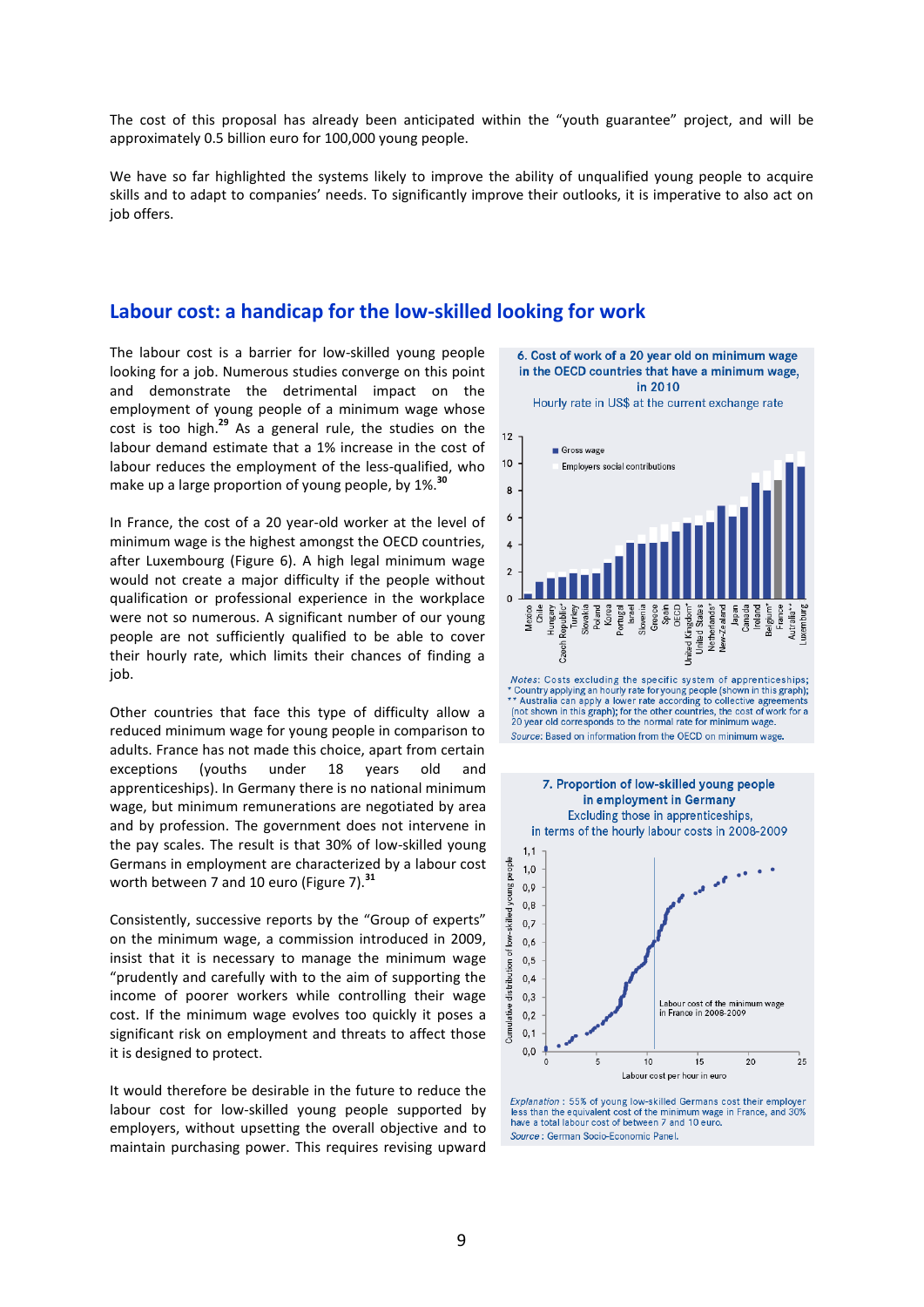The cost of this proposal has already been anticipated within the "youth guarantee" project, and will be approximately 0.5 billion euro for 100,000 young people.

We have so far highlighted the systems likely to improve the ability of unqualified young people to acquire skills and to adapt to companies' needs. To significantly improve their outlooks, it is imperative to also act on job offers.

### **Labour cost: a handicap for the low-skilled looking for work**

The labour cost is a barrier for low-skilled young people looking for a job. Numerous studies converge on this point and demonstrate the detrimental impact on the employment of young people of a minimum wage whose cost is too high.**<sup>29</sup>** As a general rule, the studies on the labour demand estimate that a 1% increase in the cost of labour reduces the employment of the less-qualified, who make up a large proportion of young people, by 1%.**<sup>30</sup>**

In France, the cost of a 20 year-old worker at the level of minimum wage is the highest amongst the OECD countries, after Luxembourg (Figure 6). A high legal minimum wage would not create a major difficulty if the people without qualification or professional experience in the workplace were not so numerous. A significant number of our young people are not sufficiently qualified to be able to cover their hourly rate, which limits their chances of finding a job.

Other countries that face this type of difficulty allow a reduced minimum wage for young people in comparison to adults. France has not made this choice, apart from certain exceptions (youths under 18 years old and apprenticeships). In Germany there is no national minimum wage, but minimum remunerations are negotiated by area and by profession. The government does not intervene in the pay scales. The result is that 30% of low-skilled young Germans in employment are characterized by a labour cost worth between 7 and 10 euro (Figure 7).**<sup>31</sup>**

Consistently, successive reports by the "Group of experts" on the minimum wage, a commission introduced in 2009, insist that it is necessary to manage the minimum wage "prudently and carefully with to the aim of supporting the income of poorer workers while controlling their wage cost. If the minimum wage evolves too quickly it poses a significant risk on employment and threats to affect those it is designed to protect.

It would therefore be desirable in the future to reduce the labour cost for low-skilled young people supported by employers, without upsetting the overall objective and to maintain purchasing power. This requires revising upward



Hourly rate in US\$ at the current exchange rate







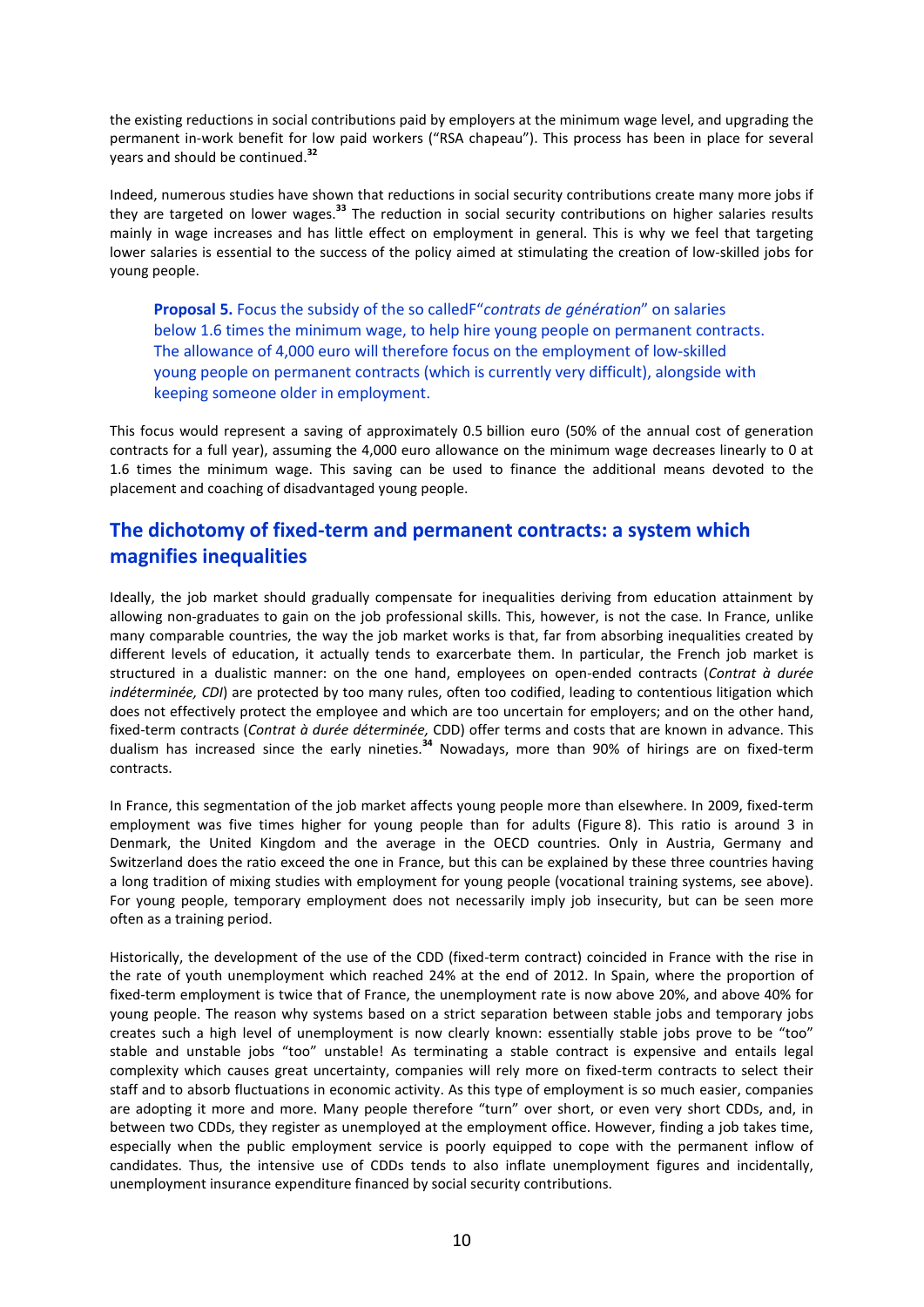the existing reductions in social contributions paid by employers at the minimum wage level, and upgrading the permanent in-work benefit for low paid workers ("RSA chapeau"). This process has been in place for several years and should be continued.**<sup>32</sup>**

Indeed, numerous studies have shown that reductions in social security contributions create many more jobs if they are targeted on lower wages.**<sup>33</sup>** The reduction in social security contributions on higher salaries results mainly in wage increases and has little effect on employment in general. This is why we feel that targeting lower salaries is essential to the success of the policy aimed at stimulating the creation of low-skilled jobs for young people.

**Proposal 5.** Focus the subsidy of the so calledF"*contrats de génération*" on salaries below 1.6 times the minimum wage, to help hire young people on permanent contracts. The allowance of 4,000 euro will therefore focus on the employment of low-skilled young people on permanent contracts (which is currently very difficult), alongside with keeping someone older in employment.

This focus would represent a saving of approximately 0.5 billion euro (50% of the annual cost of generation contracts for a full year), assuming the 4,000 euro allowance on the minimum wage decreases linearly to 0 at 1.6 times the minimum wage. This saving can be used to finance the additional means devoted to the placement and coaching of disadvantaged young people.

# **The dichotomy of fixed-term and permanent contracts: a system which magnifies inequalities**

Ideally, the job market should gradually compensate for inequalities deriving from education attainment by allowing non-graduates to gain on the job professional skills. This, however, is not the case. In France, unlike many comparable countries, the way the job market works is that, far from absorbing inequalities created by different levels of education, it actually tends to exarcerbate them. In particular, the French job market is structured in a dualistic manner: on the one hand, employees on open-ended contracts (*Contrat à durée indéterminée, CDI*) are protected by too many rules, often too codified, leading to contentious litigation which does not effectively protect the employee and which are too uncertain for employers; and on the other hand, fixed-term contracts (*Contrat à durée déterminée,* CDD) offer terms and costs that are known in advance. This dualism has increased since the early nineties.**<sup>34</sup>** Nowadays, more than 90% of hirings are on fixed-term contracts.

In France, this segmentation of the job market affects young people more than elsewhere. In 2009, fixed-term employment was five times higher for young people than for adults (Figure 8). This ratio is around 3 in Denmark, the United Kingdom and the average in the OECD countries. Only in Austria, Germany and Switzerland does the ratio exceed the one in France, but this can be explained by these three countries having a long tradition of mixing studies with employment for young people (vocational training systems, see above). For young people, temporary employment does not necessarily imply job insecurity, but can be seen more often as a training period.

Historically, the development of the use of the CDD (fixed-term contract) coincided in France with the rise in the rate of youth unemployment which reached 24% at the end of 2012. In Spain, where the proportion of fixed-term employment is twice that of France, the unemployment rate is now above 20%, and above 40% for young people. The reason why systems based on a strict separation between stable jobs and temporary jobs creates such a high level of unemployment is now clearly known: essentially stable jobs prove to be "too" stable and unstable jobs "too" unstable! As terminating a stable contract is expensive and entails legal complexity which causes great uncertainty, companies will rely more on fixed-term contracts to select their staff and to absorb fluctuations in economic activity. As this type of employment is so much easier, companies are adopting it more and more. Many people therefore "turn" over short, or even very short CDDs, and, in between two CDDs, they register as unemployed at the employment office. However, finding a job takes time, especially when the public employment service is poorly equipped to cope with the permanent inflow of candidates. Thus, the intensive use of CDDs tends to also inflate unemployment figures and incidentally, unemployment insurance expenditure financed by social security contributions.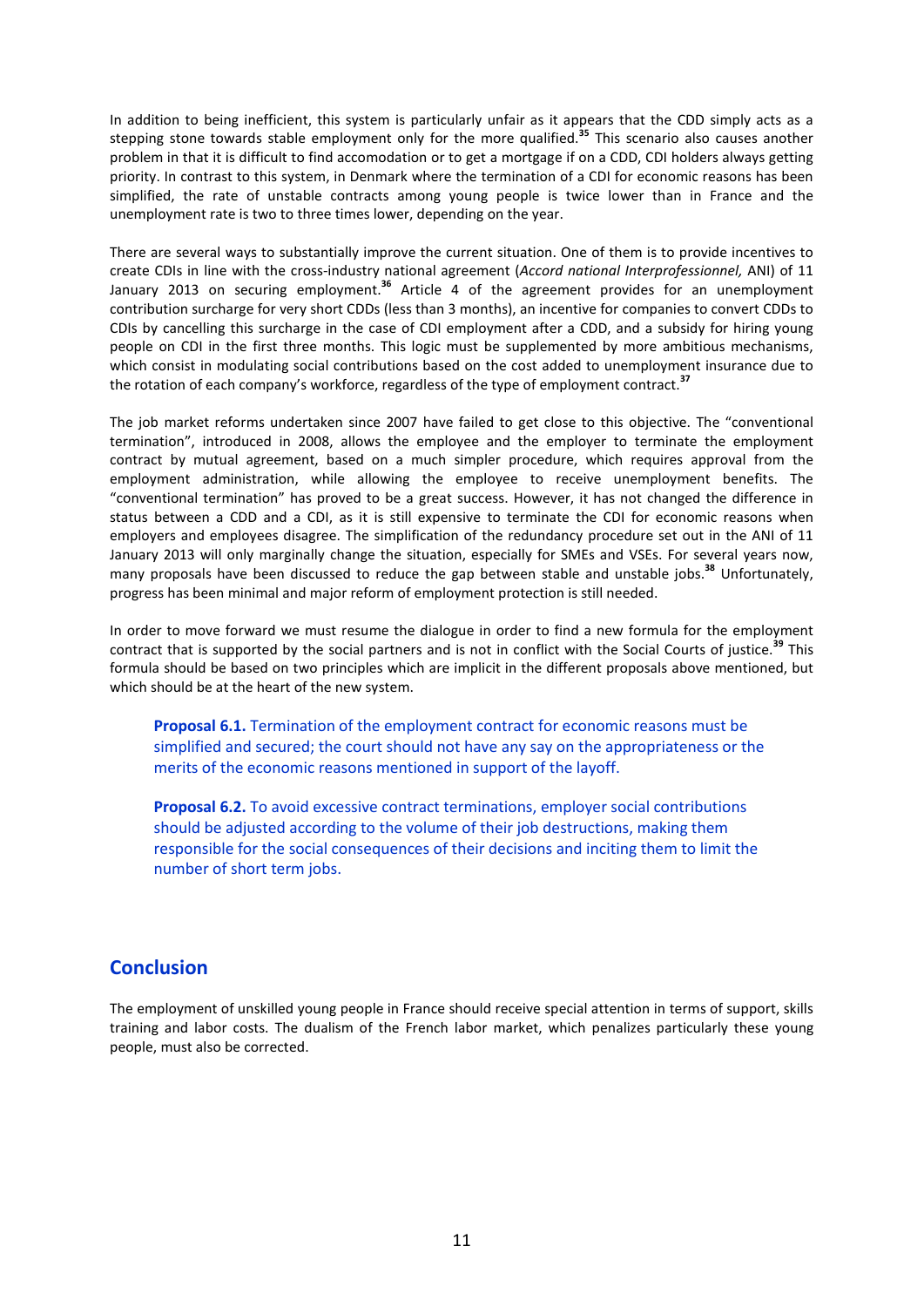In addition to being inefficient, this system is particularly unfair as it appears that the CDD simply acts as a stepping stone towards stable employment only for the more qualified.**<sup>35</sup>** This scenario also causes another problem in that it is difficult to find accomodation or to get a mortgage if on a CDD, CDI holders always getting priority. In contrast to this system, in Denmark where the termination of a CDI for economic reasons has been simplified, the rate of unstable contracts among young people is twice lower than in France and the unemployment rate is two to three times lower, depending on the year.

There are several ways to substantially improve the current situation. One of them is to provide incentives to create CDIs in line with the cross-industry national agreement (*Accord national Interprofessionnel,* ANI) of 11 January 2013 on securing employment.**<sup>36</sup>** Article 4 of the agreement provides for an unemployment contribution surcharge for very short CDDs (less than 3 months), an incentive for companies to convert CDDs to CDIs by cancelling this surcharge in the case of CDI employment after a CDD, and a subsidy for hiring young people on CDI in the first three months. This logic must be supplemented by more ambitious mechanisms, which consist in modulating social contributions based on the cost added to unemployment insurance due to the rotation of each company's workforce, regardless of the type of employment contract.**<sup>37</sup>**

The job market reforms undertaken since 2007 have failed to get close to this objective. The "conventional termination", introduced in 2008, allows the employee and the employer to terminate the employment contract by mutual agreement, based on a much simpler procedure, which requires approval from the employment administration, while allowing the employee to receive unemployment benefits. The "conventional termination" has proved to be a great success. However, it has not changed the difference in status between a CDD and a CDI, as it is still expensive to terminate the CDI for economic reasons when employers and employees disagree. The simplification of the redundancy procedure set out in the ANI of 11 January 2013 will only marginally change the situation, especially for SMEs and VSEs. For several years now, many proposals have been discussed to reduce the gap between stable and unstable jobs.**<sup>38</sup>** Unfortunately, progress has been minimal and major reform of employment protection is still needed.

In order to move forward we must resume the dialogue in order to find a new formula for the employment contract that is supported by the social partners and is not in conflict with the Social Courts of justice.**<sup>39</sup>** This formula should be based on two principles which are implicit in the different proposals above mentioned, but which should be at the heart of the new system.

**Proposal 6.1.** Termination of the employment contract for economic reasons must be simplified and secured; the court should not have any say on the appropriateness or the merits of the economic reasons mentioned in support of the layoff.

**Proposal 6.2.** To avoid excessive contract terminations, employer social contributions should be adjusted according to the volume of their job destructions, making them responsible for the social consequences of their decisions and inciting them to limit the number of short term jobs.

# **Conclusion**

The employment of unskilled young people in France should receive special attention in terms of support, skills training and labor costs. The dualism of the French labor market, which penalizes particularly these young people, must also be corrected.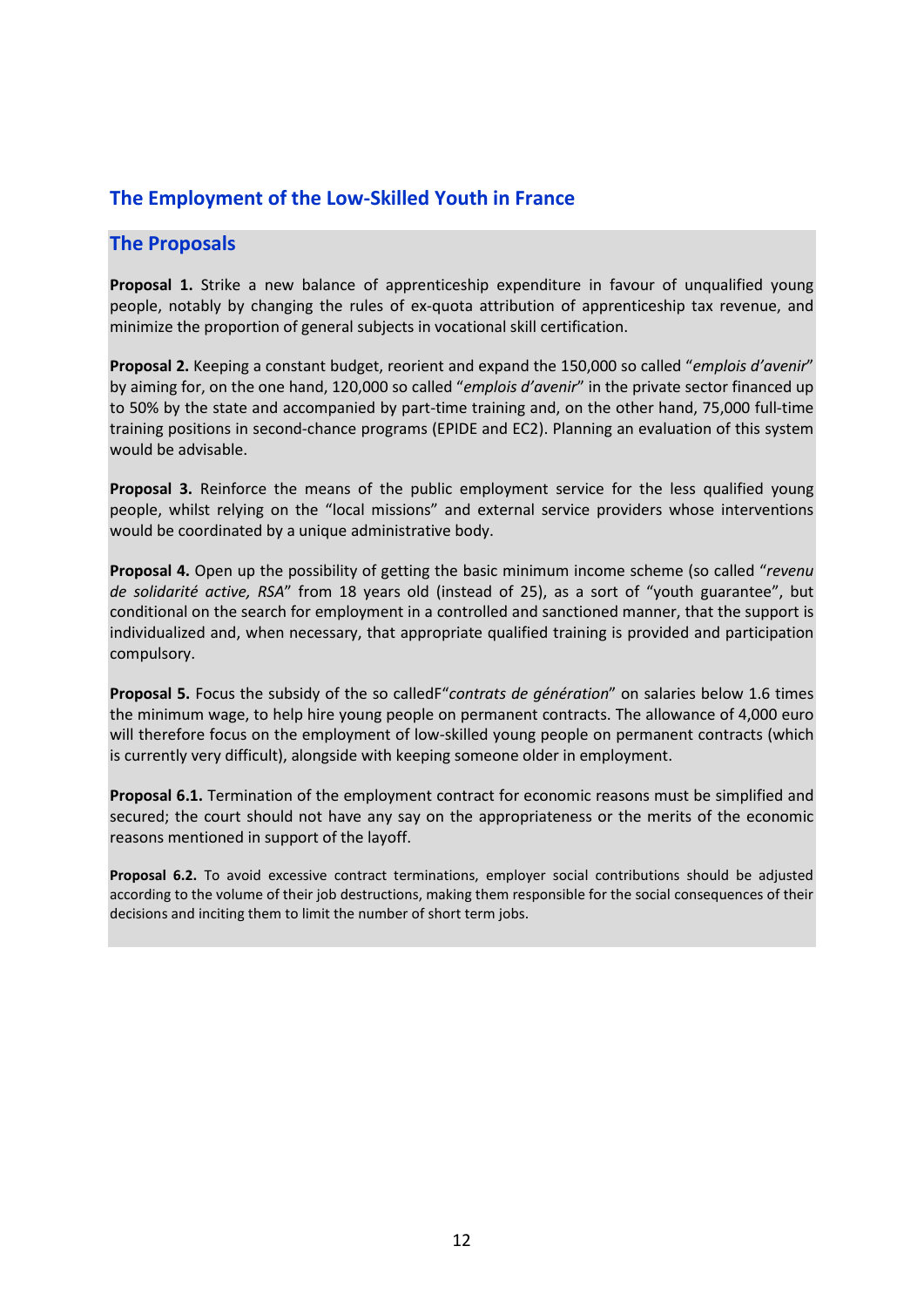## **The Employment of the Low-Skilled Youth in France**

### **The Proposals**

**Proposal 1.** Strike a new balance of apprenticeship expenditure in favour of unqualified young people, notably by changing the rules of ex-quota attribution of apprenticeship tax revenue, and minimize the proportion of general subjects in vocational skill certification.

**Proposal 2.** Keeping a constant budget, reorient and expand the 150,000 so called "*emplois d'avenir*" by aiming for, on the one hand, 120,000 so called "*emplois d'avenir*" in the private sector financed up to 50% by the state and accompanied by part-time training and, on the other hand, 75,000 full-time training positions in second-chance programs (EPIDE and EC2). Planning an evaluation of this system would be advisable.

**Proposal 3.** Reinforce the means of the public employment service for the less qualified young people, whilst relying on the "local missions" and external service providers whose interventions would be coordinated by a unique administrative body.

**Proposal 4.** Open up the possibility of getting the basic minimum income scheme (so called "*revenu de solidarité active, RSA*" from 18 years old (instead of 25), as a sort of "youth guarantee", but conditional on the search for employment in a controlled and sanctioned manner, that the support is individualized and, when necessary, that appropriate qualified training is provided and participation compulsory.

**Proposal 5.** Focus the subsidy of the so calledF"*contrats de génération*" on salaries below 1.6 times the minimum wage, to help hire young people on permanent contracts. The allowance of 4,000 euro will therefore focus on the employment of low-skilled young people on permanent contracts (which is currently very difficult), alongside with keeping someone older in employment.

**Proposal 6.1.** Termination of the employment contract for economic reasons must be simplified and secured; the court should not have any say on the appropriateness or the merits of the economic reasons mentioned in support of the layoff.

**Proposal 6.2.** To avoid excessive contract terminations, employer social contributions should be adjusted according to the volume of their job destructions, making them responsible for the social consequences of their decisions and inciting them to limit the number of short term jobs.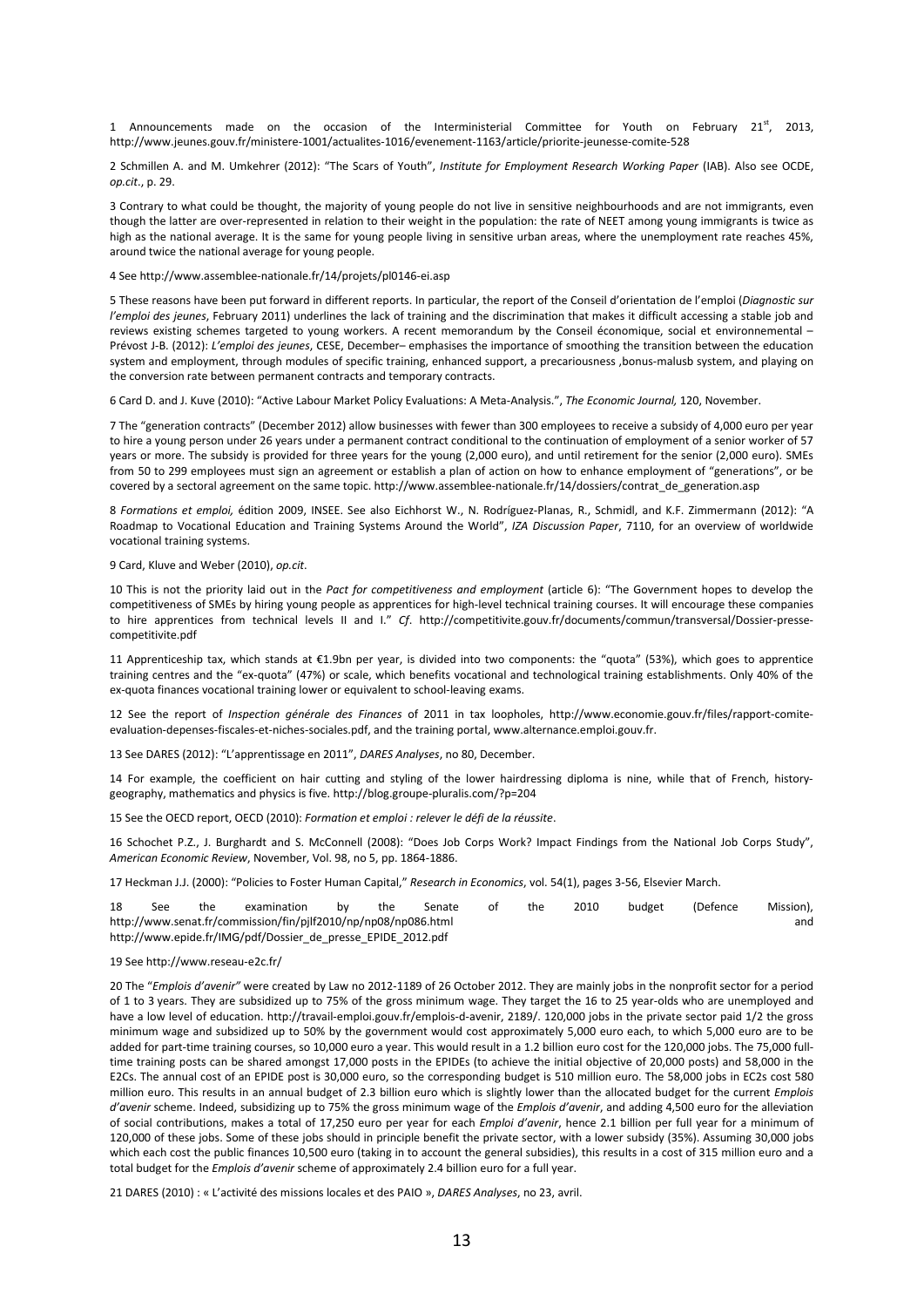1 Announcements made on the occasion of the Interministerial Committee for Youth on February 21st, 2013, http://www.jeunes.gouv.fr/ministere-1001/actualites-1016/evenement-1163/article/priorite-jeunesse-comite-528

2 Schmillen A. and M. Umkehrer (2012): "The Scars of Youth", *Institute for Employment Research Working Paper* (IAB). Also see OCDE, *op.cit*., p. 29.

3 Contrary to what could be thought, the majority of young people do not live in sensitive neighbourhoods and are not immigrants, even though the latter are over-represented in relation to their weight in the population: the rate of NEET among young immigrants is twice as high as the national average. It is the same for young people living in sensitive urban areas, where the unemployment rate reaches 45%, around twice the national average for young people.

4 See http://www.assemblee-nationale.fr/14/projets/pl0146-ei.asp

5 These reasons have been put forward in different reports. In particular, the report of the Conseil d'orientation de l'emploi (*Diagnostic sur l'emploi des jeunes*, February 2011) underlines the lack of training and the discrimination that makes it difficult accessing a stable job and reviews existing schemes targeted to young workers. A recent memorandum by the Conseil économique, social et environnemental – Prévost J-B. (2012): *L'emploi des jeunes*, CESE, December– emphasises the importance of smoothing the transition between the education system and employment, through modules of specific training, enhanced support, a precariousness ,bonus-malusb system, and playing on the conversion rate between permanent contracts and temporary contracts.

6 Card D. and J. Kuve (2010): "Active Labour Market Policy Evaluations: A Meta-Analysis.", *The Economic Journal,* 120, November.

7 The "generation contracts" (December 2012) allow businesses with fewer than 300 employees to receive a subsidy of 4,000 euro per year to hire a young person under 26 years under a permanent contract conditional to the continuation of employment of a senior worker of 57 years or more. The subsidy is provided for three years for the young (2,000 euro), and until retirement for the senior (2,000 euro). SMEs from 50 to 299 employees must sign an agreement or establish a plan of action on how to enhance employment of "generations", or be covered by a sectoral agreement on the same topic. http://www.assemblee-nationale.fr/14/dossiers/contrat\_de\_generation.asp

8 *Formations et emploi,* édition 2009, INSEE. See also Eichhorst W., N. Rodríguez-Planas, R., Schmidl, and K.F. Zimmermann (2012): "A Roadmap to Vocational Education and Training Systems Around the World", *IZA Discussion Paper*, 7110, for an overview of worldwide vocational training systems.

#### 9 Card, Kluve and Weber (2010), *op.cit*.

10 This is not the priority laid out in the *Pact for competitiveness and employment* (article 6): "The Government hopes to develop the competitiveness of SMEs by hiring young people as apprentices for high-level technical training courses. It will encourage these companies to hire apprentices from technical levels II and I." *Cf*. http://competitivite.gouv.fr/documents/commun/transversal/Dossier-pressecompetitivite.pdf

11 Apprenticeship tax, which stands at €1.9bn per year, is divided into two components: the "quota" (53%), which goes to apprentice training centres and the "ex-quota" (47%) or scale, which benefits vocational and technological training establishments. Only 40% of the ex-quota finances vocational training lower or equivalent to school-leaving exams.

12 See the report of *Inspection générale des Finances* of 2011 in tax loopholes, http://www.economie.gouv.fr/files/rapport-comiteevaluation-depenses-fiscales-et-niches-sociales.pdf, and the training portal, www.alternance.emploi.gouv.fr.

13 See DARES (2012): "L'apprentissage en 2011", *DARES Analyses*, no 80, December.

14 For example, the coefficient on hair cutting and styling of the lower hairdressing diploma is nine, while that of French, historygeography, mathematics and physics is five. http://blog.groupe-pluralis.com/?p=204

15 See the OECD report, OECD (2010): *Formation et emploi : relever le défi de la réussite*.

16 Schochet P.Z., J. Burghardt and S. McConnell (2008): "Does Job Corps Work? Impact Findings from the National Job Corps Study", *American Economic Review*, November, Vol. 98, no 5, pp. 1864-1886.

17 Heckman J.J. (2000): "Policies to Foster Human Capital," *Research in Economics*, vol. 54(1), pages 3-56, Elsevier March.

| 18                                                           | See                                                                   | the | examination | bv | the | Senate |  | the | 2010 | budget | (Defence) | Mission), |  |
|--------------------------------------------------------------|-----------------------------------------------------------------------|-----|-------------|----|-----|--------|--|-----|------|--------|-----------|-----------|--|
|                                                              | http://www.senat.fr/commission/fin/pjlf2010/np/np08/np086.html<br>and |     |             |    |     |        |  |     |      |        |           |           |  |
| http://www.epide.fr/IMG/pdf/Dossier de presse EPIDE 2012.pdf |                                                                       |     |             |    |     |        |  |     |      |        |           |           |  |

#### 19 See http://www.reseau-e2c.fr/

20 The "*Emplois d'avenir"* were created by Law no 2012-1189 of 26 October 2012. They are mainly jobs in the nonprofit sector for a period of 1 to 3 years. They are subsidized up to 75% of the gross minimum wage. They target the 16 to 25 year-olds who are unemployed and have a low level of education. http://travail-emploi.gouv.fr/emplois-d-avenir, 2189/. 120,000 jobs in the private sector paid 1/2 the gross minimum wage and subsidized up to 50% by the government would cost approximately 5,000 euro each, to which 5,000 euro are to be added for part-time training courses, so 10,000 euro a year. This would result in a 1.2 billion euro cost for the 120,000 jobs. The 75,000 fulltime training posts can be shared amongst 17,000 posts in the EPIDEs (to achieve the initial objective of 20,000 posts) and 58,000 in the E2Cs. The annual cost of an EPIDE post is 30,000 euro, so the corresponding budget is 510 million euro. The 58,000 jobs in EC2s cost 580 million euro. This results in an annual budget of 2.3 billion euro which is slightly lower than the allocated budget for the current *Emplois d'avenir* scheme. Indeed, subsidizing up to 75% the gross minimum wage of the *Emplois d'avenir*, and adding 4,500 euro for the alleviation of social contributions, makes a total of 17,250 euro per year for each *Emploi d'avenir*, hence 2.1 billion per full year for a minimum of 120,000 of these jobs. Some of these jobs should in principle benefit the private sector, with a lower subsidy (35%). Assuming 30,000 jobs which each cost the public finances 10,500 euro (taking in to account the general subsidies), this results in a cost of 315 million euro and a total budget for the *Emplois d'avenir* scheme of approximately 2.4 billion euro for a full year.

21 DARES (2010) : « L'activité des missions locales et des PAIO », *DARES Analyses*, no 23, avril.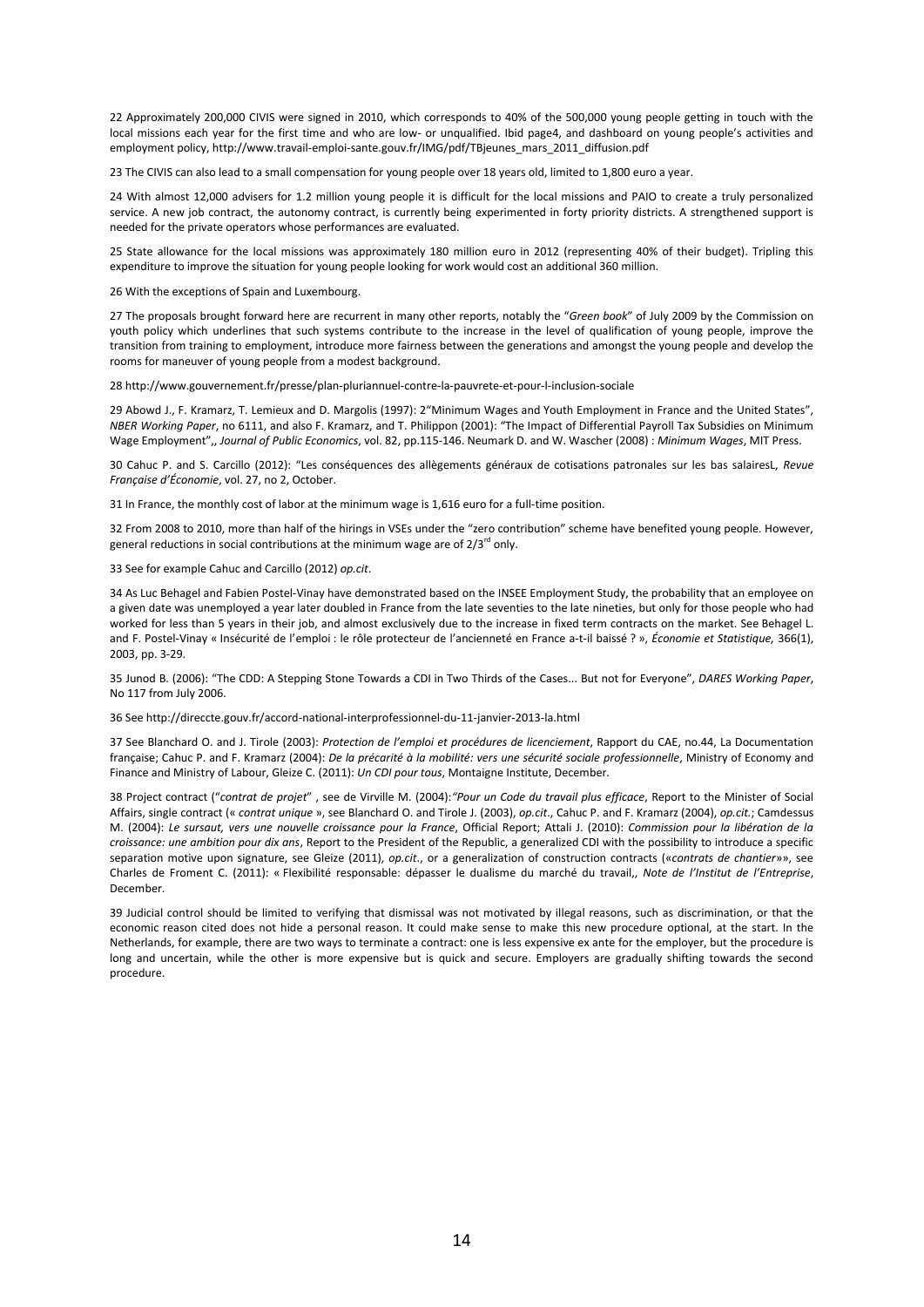22 Approximately 200,000 CIVIS were signed in 2010, which corresponds to 40% of the 500,000 young people getting in touch with the local missions each year for the first time and who are low- or unqualified. Ibid page4, and dashboard on young people's activities and employment policy, http://www.travail-emploi-sante.gouv.fr/IMG/pdf/TBjeunes\_mars\_2011\_diffusion.pdf

23 The CIVIS can also lead to a small compensation for young people over 18 years old, limited to 1,800 euro a year.

24 With almost 12,000 advisers for 1.2 million young people it is difficult for the local missions and PAIO to create a truly personalized service. A new job contract, the autonomy contract, is currently being experimented in forty priority districts. A strengthened support is needed for the private operators whose performances are evaluated.

25 State allowance for the local missions was approximately 180 million euro in 2012 (representing 40% of their budget). Tripling this expenditure to improve the situation for young people looking for work would cost an additional 360 million.

26 With the exceptions of Spain and Luxembourg.

27 The proposals brought forward here are recurrent in many other reports, notably the "*Green book*" of July 2009 by the Commission on youth policy which underlines that such systems contribute to the increase in the level of qualification of young people, improve the transition from training to employment, introduce more fairness between the generations and amongst the young people and develop the rooms for maneuver of young people from a modest background.

28 http://www.gouvernement.fr/presse/plan-pluriannuel-contre-la-pauvrete-et-pour-l-inclusion-sociale

29 Abowd J., F. Kramarz, T. Lemieux and D. Margolis (1997): 2"Minimum Wages and Youth Employment in France and the United States", *NBER Working Paper*, no 6111, and also F. Kramarz, and T. Philippon (2001): "The Impact of Differential Payroll Tax Subsidies on Minimum Wage Employment",, *Journal of Public Economics*, vol. 82, pp.115-146. Neumark D. and W. Wascher (2008) : *Minimum Wages*, MIT Press.

30 Cahuc P. and S. Carcillo (2012): "Les conséquences des allègements généraux de cotisations patronales sur les bas salairesL, *Revue Française d'Économie*, vol. 27, no 2, October.

31 In France, the monthly cost of labor at the minimum wage is 1,616 euro for a full-time position.

32 From 2008 to 2010, more than half of the hirings in VSEs under the "zero contribution" scheme have benefited young people. However, general reductions in social contributions at the minimum wage are of  $2/3^{rd}$  only.

33 See for example Cahuc and Carcillo (2012) *op.cit*.

34 As Luc Behagel and Fabien Postel-Vinay have demonstrated based on the INSEE Employment Study, the probability that an employee on a given date was unemployed a year later doubled in France from the late seventies to the late nineties, but only for those people who had worked for less than 5 years in their job, and almost exclusively due to the increase in fixed term contracts on the market. See Behagel L. and F. Postel-Vinay « Insécurité de l'emploi : le rôle protecteur de l'ancienneté en France a-t-il baissé ? », *Économie et Statistique,* 366(1), 2003, pp. 3-29.

35 Junod B. (2006): "The CDD: A Stepping Stone Towards a CDI in Two Thirds of the Cases... But not for Everyone", *DARES Working Paper*, No 117 from July 2006.

36 See http://direccte.gouv.fr/accord-national-interprofessionnel-du-11-janvier-2013-la.html

37 See Blanchard O. and J. Tirole (2003): *Protection de l'emploi et procédures de licenciement*, Rapport du CAE, no.44, La Documentation française; Cahuc P. and F. Kramarz (2004): *De la précarité à la mobilité: vers une sécurité sociale professionnelle*, Ministry of Economy and Finance and Ministry of Labour, Gleize C. (2011): *Un CDI pour tous*, Montaigne Institute, December.

38 Project contract ("*contrat de projet*" , see de Virville M. (2004):*"Pour un Code du travail plus efficace*, Report to the Minister of Social Affairs, single contract (« *contrat unique* », see Blanchard O. and Tirole J. (2003), *op.cit*., Cahuc P. and F. Kramarz (2004), *op.cit.*; Camdessus M. (2004): *Le sursaut, vers une nouvelle croissance pour la France*, Official Report; Attali J. (2010): *Commission pour la libération de la croissance: une ambition pour dix ans*, Report to the President of the Republic, a generalized CDI with the possibility to introduce a specific separation motive upon signature, see Gleize (2011), *op.cit*., or a generalization of construction contracts («*contrats de chantier*»», see Charles de Froment C. (2011): « Flexibilité responsable: dépasser le dualisme du marché du travail,, *Note de l'Institut de l'Entreprise*, December.

39 Judicial control should be limited to verifying that dismissal was not motivated by illegal reasons, such as discrimination, or that the economic reason cited does not hide a personal reason. It could make sense to make this new procedure optional, at the start. In the Netherlands, for example, there are two ways to terminate a contract: one is less expensive ex ante for the employer, but the procedure is long and uncertain, while the other is more expensive but is quick and secure. Employers are gradually shifting towards the second procedure.